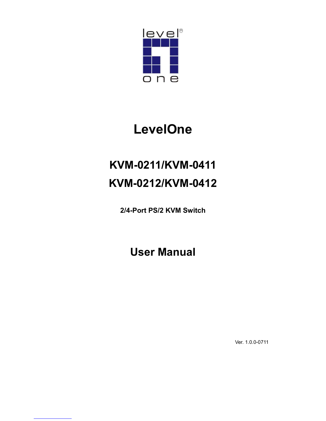

# LevelOne

# KVM-0211/KVM-0411 KVM-0212/KVM-0412

2/4-Port PS/2 KVM Switch

User Manual

Ver. 1.0.0-0711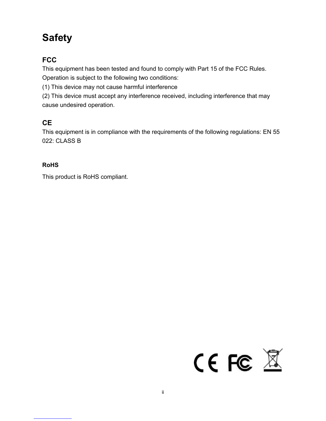## Safety

### **FCC**

This equipment has been tested and found to comply with Part 15 of the FCC Rules.

Operation is subject to the following two conditions:

(1) This device may not cause harmful interference

(2) This device must accept any interference received, including interference that may cause undesired operation.

### **CE**

This equipment is in compliance with the requirements of the following regulations: EN 55 022: CLASS B

#### RoHS

This product is RoHS compliant.

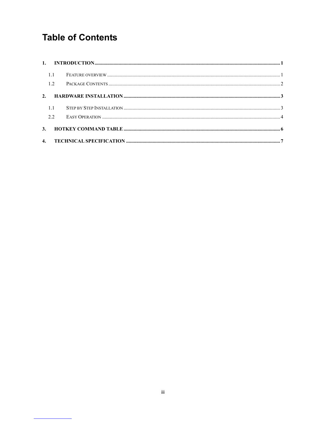## **Table of Contents**

|    | 1.2            |  |  |  |  |
|----|----------------|--|--|--|--|
| 2. |                |  |  |  |  |
|    | 11             |  |  |  |  |
|    | 2.2            |  |  |  |  |
|    | 3 <sub>1</sub> |  |  |  |  |
|    |                |  |  |  |  |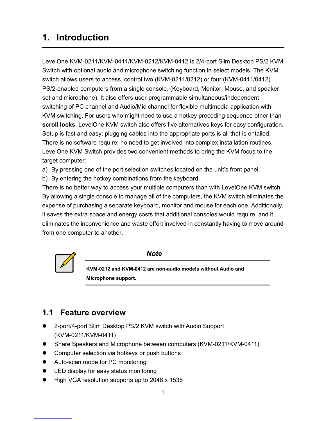## 1. Introduction

LevelOne KVM-0211/KVM-0411/KVM-0212/KVM-0412 is 2/4-port Slim Desktop PS/2 KVM Switch with optional audio and microphone switching function in select models. The KVM switch allows users to access, control two (KVM-0211/0212) or four (KVM-0411/0412) PS/2-enabled computers from a single console. (Keyboard, Monitor, Mouse, and speaker set and microphone). It also offers user-programmable simultaneous/independent switching of PC channel and Audio/Mic channel for flexible multimedia application with KVM switching. For users who might need to use a hotkey preceding sequence other than scroll locks, LevelOne KVM switch also offers five alternatives keys for easy configuration. Setup is fast and easy; plugging cables into the appropriate ports is all that is entailed. There is no software require; no need to get involved into complex installation routines. LevelOne KVM Switch provides two convenient methods to bring the KVM focus to the target computer:

a) By pressing one of the port selection switches located on the unit's front panel.

b) By entering the hotkey combinations from the keyboard.

There is no better way to access your multiple computers than with LevelOne KVM switch. By allowing a single console to manage all of the computers, the KVM switch eliminates the expense of purchasing a separate keyboard, monitor and mouse for each one. Additionally, it saves the extra space and energy costs that additional consoles would require, and it eliminates the inconvenience and waste effort involved in constantly having to move around from one computer to another.



**Note** 

KVM-0212 and KVM-0412 are non-audio models without Audio and Microphone support.

### 1.1 Feature overview

- 2-port/4-port Slim Desktop PS/2 KVM switch with Audio Support (KVM-0211/KVM-0411)
- Share Speakers and Microphone between computers (KVM-0211/KVM-0411)
- Computer selection via hotkeys or push buttons
- Auto-scan mode for PC monitoring
- LED display for easy status monitoring
- High VGA resolution supports up to 2048 x 1536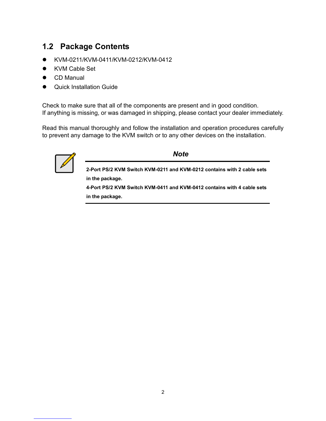## 1.2 Package Contents

- KVM-0211/KVM-0411/KVM-0212/KVM-0412
- KVM Cable Set
- CD Manual
- Quick Installation Guide

Check to make sure that all of the components are present and in good condition. If anything is missing, or was damaged in shipping, please contact your dealer immediately.

Read this manual thoroughly and follow the installation and operation procedures carefully to prevent any damage to the KVM switch or to any other devices on the installation.



#### **Note**

2-Port PS/2 KVM Switch KVM-0211 and KVM-0212 contains with 2 cable sets in the package.

4-Port PS/2 KVM Switch KVM-0411 and KVM-0412 contains with 4 cable sets in the package.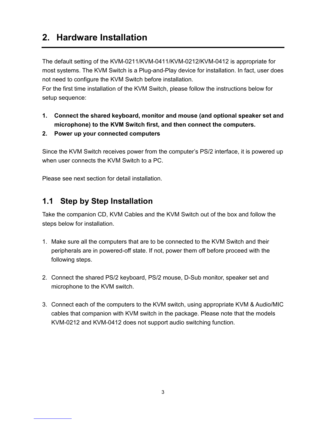## 2. Hardware Installation

The default setting of the KVM-0211/KVM-0411/KVM-0212/KVM-0412 is appropriate for most systems. The KVM Switch is a Plug-and-Play device for installation. In fact, user does not need to configure the KVM Switch before installation.

For the first time installation of the KVM Switch, please follow the instructions below for setup sequence:

- 1. Connect the shared keyboard, monitor and mouse (and optional speaker set and microphone) to the KVM Switch first, and then connect the computers.
- 2. Power up your connected computers

Since the KVM Switch receives power from the computer's PS/2 interface, it is powered up when user connects the KVM Switch to a PC.

Please see next section for detail installation.

### 1.1 Step by Step Installation

Take the companion CD, KVM Cables and the KVM Switch out of the box and follow the steps below for installation.

- 1. Make sure all the computers that are to be connected to the KVM Switch and their peripherals are in powered-off state. If not, power them off before proceed with the following steps.
- 2. Connect the shared PS/2 keyboard, PS/2 mouse, D-Sub monitor, speaker set and microphone to the KVM switch.
- 3. Connect each of the computers to the KVM switch, using appropriate KVM & Audio/MIC cables that companion with KVM switch in the package. Please note that the models KVM-0212 and KVM-0412 does not support audio switching function.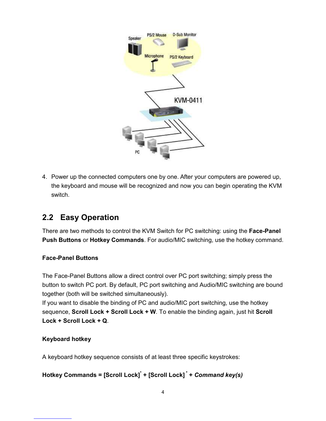

4. Power up the connected computers one by one. After your computers are powered up, the keyboard and mouse will be recognized and now you can begin operating the KVM switch.

## 2.2 Easy Operation

There are two methods to control the KVM Switch for PC switching: using the Face-Panel Push Buttons or Hotkey Commands. For audio/MIC switching, use the hotkey command.

#### Face-Panel Buttons

The Face-Panel Buttons allow a direct control over PC port switching; simply press the button to switch PC port. By default, PC port switching and Audio/MIC switching are bound together (both will be switched simultaneously).

If you want to disable the binding of PC and audio/MIC port switching, use the hotkey sequence, Scroll Lock + Scroll Lock + W. To enable the binding again, just hit Scroll Lock + Scroll Lock + Q.

#### Keyboard hotkey

A keyboard hotkey sequence consists of at least three specific keystrokes:

#### Hotkey Commands = [Scroll Lock]<sup>\*</sup> + [Scroll Lock]<sup>\*</sup> + Command key(s)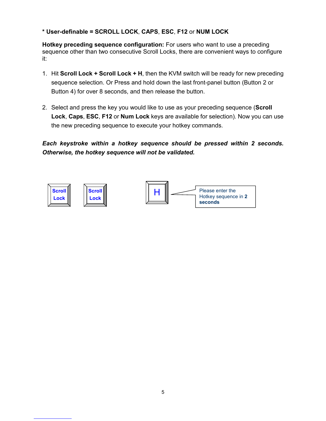#### \* User-definable = SCROLL LOCK, CAPS, ESC, F12 or NUM LOCK

Hotkey preceding sequence configuration: For users who want to use a preceding sequence other than two consecutive Scroll Locks, there are convenient ways to configure it:

- 1. Hit Scroll Lock + Scroll Lock + H, then the KVM switch will be ready for new preceding sequence selection. Or Press and hold down the last front-panel button (Button 2 or Button 4) for over 8 seconds, and then release the button.
- 2. Select and press the key you would like to use as your preceding sequence (Scroll Lock, Caps, ESC, F12 or Num Lock keys are available for selection). Now you can use the new preceding sequence to execute your hotkey commands.

Each keystroke within a hotkey sequence should be pressed within 2 seconds. Otherwise, the hotkey sequence will not be validated.

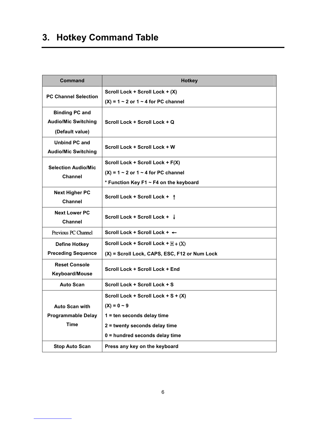## 3. Hotkey Command Table

| Command                                                                | <b>Hotkey</b>                                 |
|------------------------------------------------------------------------|-----------------------------------------------|
|                                                                        | Scroll Lock + Scroll Lock + (X)               |
| <b>PC Channel Selection</b>                                            | $(X) = 1 - 2$ or $1 - 4$ for PC channel       |
| <b>Binding PC and</b><br><b>Audio/Mic Switching</b><br>(Default value) | Scroll Lock + Scroll Lock + Q                 |
| <b>Unbind PC and</b><br><b>Audio/Mic Switching</b>                     | Scroll Lock + Scroll Lock + W                 |
| <b>Selection Audio/Mic</b>                                             | Scroll Lock + Scroll Lock + F(X)              |
| <b>Channel</b>                                                         | $(X) = 1 - 2$ or $1 - 4$ for PC channel       |
|                                                                        | * Function Key F1 ~ F4 on the keyboard        |
| <b>Next Higher PC</b><br><b>Channel</b>                                | Scroll Lock + Scroll Lock + 1                 |
| <b>Next Lower PC</b><br><b>Channel</b>                                 | Scroll Lock + Scroll Lock + ↓                 |
| Previous PC Channel                                                    | Scroll Lock + Scroll Lock + $\leftarrow$      |
| <b>Define Hotkey</b>                                                   | Scroll Lock + Scroll Lock + $H + (X)$         |
| <b>Preceding Sequence</b>                                              | (X) = Scroll Lock, CAPS, ESC, F12 or Num Lock |
| <b>Reset Console</b><br><b>Keyboard/Mouse</b>                          | Scroll Lock + Scroll Lock + End               |
| <b>Auto Scan</b>                                                       | Scroll Lock + Scroll Lock + S                 |
|                                                                        | Scroll Lock + Scroll Lock + S + (X)           |
| <b>Auto Scan with</b>                                                  | $(X) = 0 - 9$                                 |
| <b>Programmable Delay</b>                                              | 1 = ten seconds delay time                    |
| <b>Time</b>                                                            | 2 = twenty seconds delay time                 |
|                                                                        | 0 = hundred seconds delay time                |
| <b>Stop Auto Scan</b>                                                  | Press any key on the keyboard                 |